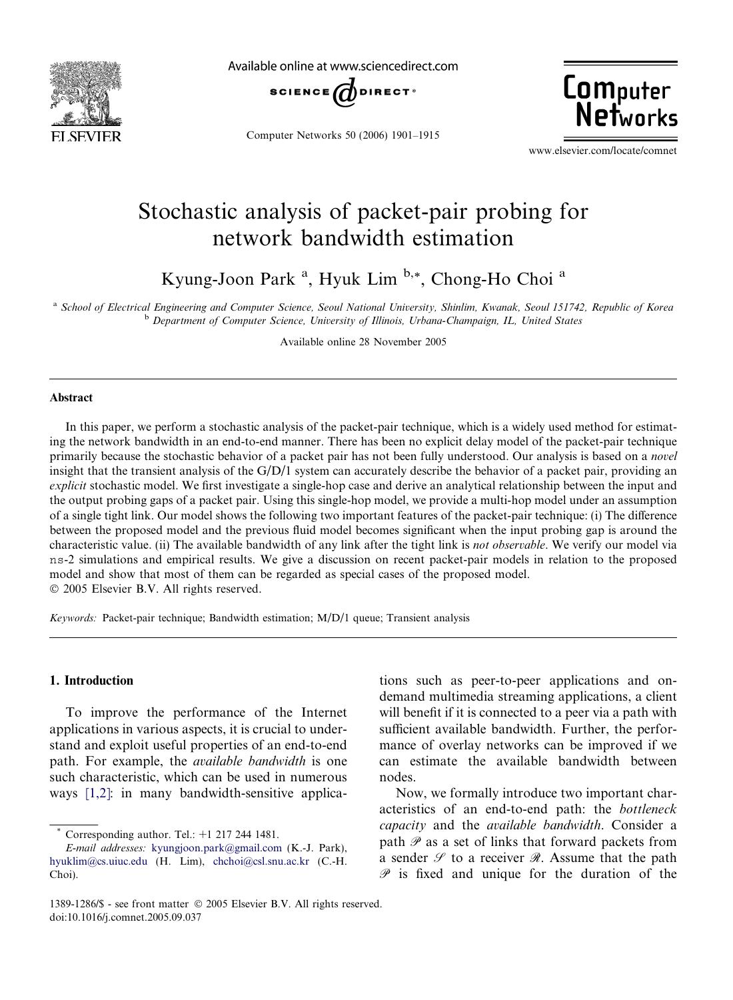

Available online at www.sciencedirect.com



Computer Networks 50 (2006) 1901–1915

**Computer**<br>Networks

www.elsevier.com/locate/comnet

# Stochastic analysis of packet-pair probing for network bandwidth estimation

Kyung-Joon Park<sup>a</sup>, Hyuk Lim<sup>b,\*</sup>, Chong-Ho Choi<sup>a</sup>

a School of Electrical Engineering and Computer Science, Seoul National University, Shinlim, Kwanak, Seoul 151742, Republic of Korea **b** Department of Computer Science, University of Illinois, Urbana-Champaign, IL, United States

Available online 28 November 2005

# Abstract

In this paper, we perform a stochastic analysis of the packet-pair technique, which is a widely used method for estimating the network bandwidth in an end-to-end manner. There has been no explicit delay model of the packet-pair technique primarily because the stochastic behavior of a packet pair has not been fully understood. Our analysis is based on a novel insight that the transient analysis of the G/D/1 system can accurately describe the behavior of a packet pair, providing an explicit stochastic model. We first investigate a single-hop case and derive an analytical relationship between the input and the output probing gaps of a packet pair. Using this single-hop model, we provide a multi-hop model under an assumption of a single tight link. Our model shows the following two important features of the packet-pair technique: (i) The difference between the proposed model and the previous fluid model becomes significant when the input probing gap is around the characteristic value. (ii) The available bandwidth of any link after the tight link is not observable. We verify our model via ns-2 simulations and empirical results. We give a discussion on recent packet-pair models in relation to the proposed model and show that most of them can be regarded as special cases of the proposed model. © 2005 Elsevier B.V. All rights reserved.

Keywords: Packet-pair technique; Bandwidth estimation; M/D/1 queue; Transient analysis

# 1. Introduction

To improve the performance of the Internet applications in various aspects, it is crucial to understand and exploit useful properties of an end-to-end path. For example, the available bandwidth is one such characteristic, which can be used in numerous ways [\[1,2\]:](#page-13-0) in many bandwidth-sensitive applica-

tions such as peer-to-peer applications and ondemand multimedia streaming applications, a client will benefit if it is connected to a peer via a path with sufficient available bandwidth. Further, the performance of overlay networks can be improved if we can estimate the available bandwidth between nodes.

Now, we formally introduce two important characteristics of an end-to-end path: the bottleneck capacity and the available bandwidth. Consider a path  $\mathscr P$  as a set of links that forward packets from a sender  $\mathscr S$  to a receiver  $\mathscr R$ . Assume that the path  $\mathscr P$  is fixed and unique for the duration of the

Corresponding author. Tel.:  $+1$  217 244 1481.

E-mail addresses: [kyungjoon.park@gmail.com](mailto:kyungjoon.park@gmail.com) (K.-J. Park), [hyuklim@cs.uiuc.edu](mailto:hyuklim@cs.uiuc.edu) (H. Lim), [chchoi@csl.snu.ac.kr](mailto:chchoi@csl.snu.ac.kr) (C.-H. Choi).

<sup>1389-1286/\$ -</sup> see front matter © 2005 Elsevier B.V. All rights reserved. doi:10.1016/j.comnet.2005.09.037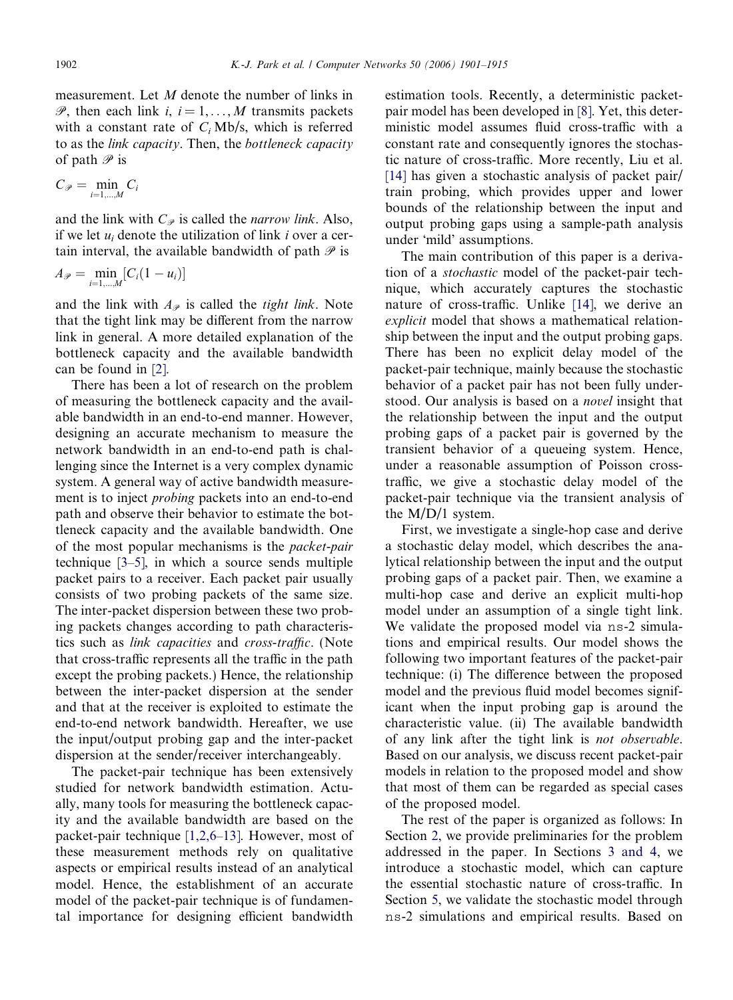measurement. Let M denote the number of links in  $\mathscr{P}$ , then each link *i*, *i* = 1,..., *M* transmits packets with a constant rate of  $C_i$  Mb/s, which is referred to as the link capacity. Then, the bottleneck capacity of path  $\mathscr P$  is

$$
C_{\mathcal{P}} = \min_{i=1,\dots,M} C_i
$$

and the link with  $C_{\varphi}$  is called the *narrow link*. Also, if we let  $u_i$  denote the utilization of link i over a certain interval, the available bandwidth of path  $\mathscr P$  is

$$
A_{\mathscr{P}} = \min_{i=1,\dots,M} [C_i(1-u_i)]
$$

and the link with  $A_{\varphi}$  is called the *tight link*. Note that the tight link may be different from the narrow link in general. A more detailed explanation of the bottleneck capacity and the available bandwidth can be found in [\[2\]](#page-13-0).

There has been a lot of research on the problem of measuring the bottleneck capacity and the available bandwidth in an end-to-end manner. However, designing an accurate mechanism to measure the network bandwidth in an end-to-end path is challenging since the Internet is a very complex dynamic system. A general way of active bandwidth measurement is to inject probing packets into an end-to-end path and observe their behavior to estimate the bottleneck capacity and the available bandwidth. One of the most popular mechanisms is the packet-pair technique [\[3–5\]](#page-13-0), in which a source sends multiple packet pairs to a receiver. Each packet pair usually consists of two probing packets of the same size. The inter-packet dispersion between these two probing packets changes according to path characteristics such as link capacities and cross-traffic. (Note that cross-traffic represents all the traffic in the path except the probing packets.) Hence, the relationship between the inter-packet dispersion at the sender and that at the receiver is exploited to estimate the end-to-end network bandwidth. Hereafter, we use the input/output probing gap and the inter-packet dispersion at the sender/receiver interchangeably.

The packet-pair technique has been extensively studied for network bandwidth estimation. Actually, many tools for measuring the bottleneck capacity and the available bandwidth are based on the packet-pair technique [\[1,2,6–13\]](#page-13-0). However, most of these measurement methods rely on qualitative aspects or empirical results instead of an analytical model. Hence, the establishment of an accurate model of the packet-pair technique is of fundamental importance for designing efficient bandwidth

estimation tools. Recently, a deterministic packetpair model has been developed in [\[8\]](#page-14-0). Yet, this deterministic model assumes fluid cross-traffic with a constant rate and consequently ignores the stochastic nature of cross-traffic. More recently, Liu et al. [\[14\]](#page-14-0) has given a stochastic analysis of packet pair/ train probing, which provides upper and lower bounds of the relationship between the input and output probing gaps using a sample-path analysis under 'mild' assumptions.

The main contribution of this paper is a derivation of a stochastic model of the packet-pair technique, which accurately captures the stochastic nature of cross-traffic. Unlike [\[14\],](#page-14-0) we derive an explicit model that shows a mathematical relationship between the input and the output probing gaps. There has been no explicit delay model of the packet-pair technique, mainly because the stochastic behavior of a packet pair has not been fully understood. Our analysis is based on a *novel* insight that the relationship between the input and the output probing gaps of a packet pair is governed by the transient behavior of a queueing system. Hence, under a reasonable assumption of Poisson crosstraffic, we give a stochastic delay model of the packet-pair technique via the transient analysis of the M/D/1 system.

First, we investigate a single-hop case and derive a stochastic delay model, which describes the analytical relationship between the input and the output probing gaps of a packet pair. Then, we examine a multi-hop case and derive an explicit multi-hop model under an assumption of a single tight link. We validate the proposed model via ns-2 simulations and empirical results. Our model shows the following two important features of the packet-pair technique: (i) The difference between the proposed model and the previous fluid model becomes significant when the input probing gap is around the characteristic value. (ii) The available bandwidth of any link after the tight link is not observable. Based on our analysis, we discuss recent packet-pair models in relation to the proposed model and show that most of them can be regarded as special cases of the proposed model.

The rest of the paper is organized as follows: In Section [2,](#page-2-0) we provide preliminaries for the problem addressed in the paper. In Sections [3 and 4](#page-3-0), we introduce a stochastic model, which can capture the essential stochastic nature of cross-traffic. In Section [5,](#page-7-0) we validate the stochastic model through ns-2 simulations and empirical results. Based on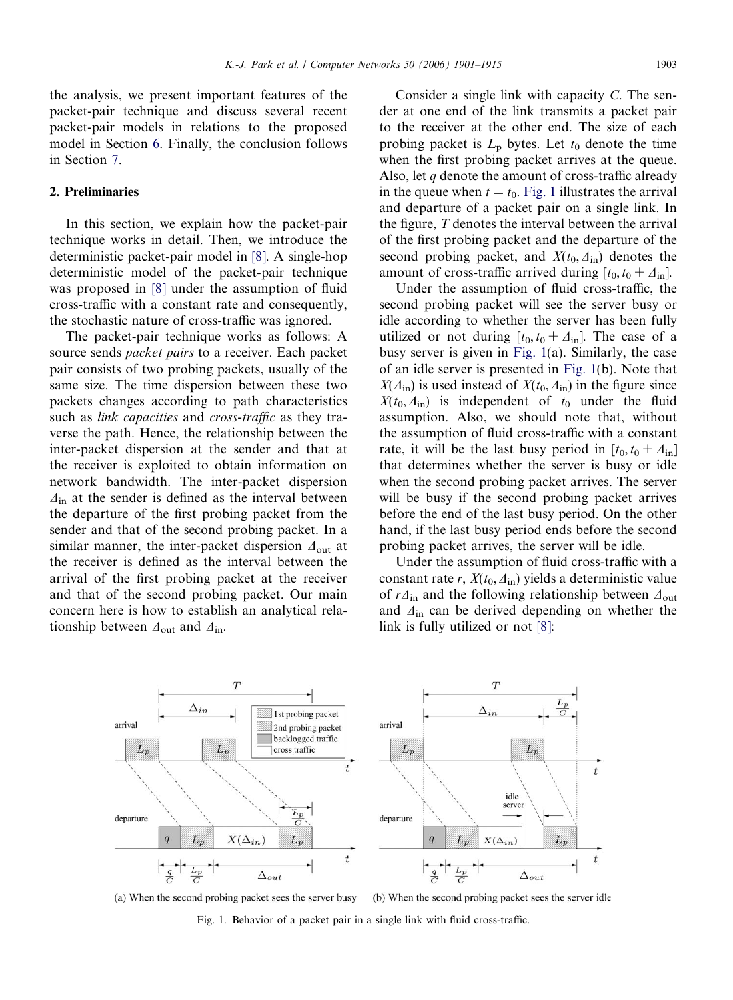<span id="page-2-0"></span>the analysis, we present important features of the packet-pair technique and discuss several recent packet-pair models in relations to the proposed model in Section [6](#page-11-0). Finally, the conclusion follows in Section [7.](#page-11-0)

## 2. Preliminaries

In this section, we explain how the packet-pair technique works in detail. Then, we introduce the deterministic packet-pair model in [\[8\]](#page-14-0). A single-hop deterministic model of the packet-pair technique was proposed in [\[8\]](#page-14-0) under the assumption of fluid cross-traffic with a constant rate and consequently, the stochastic nature of cross-traffic was ignored.

The packet-pair technique works as follows: A source sends packet pairs to a receiver. Each packet pair consists of two probing packets, usually of the same size. The time dispersion between these two packets changes according to path characteristics such as link capacities and cross-traffic as they traverse the path. Hence, the relationship between the inter-packet dispersion at the sender and that at the receiver is exploited to obtain information on network bandwidth. The inter-packet dispersion  $\Delta$ <sub>in</sub> at the sender is defined as the interval between the departure of the first probing packet from the sender and that of the second probing packet. In a similar manner, the inter-packet dispersion  $\Delta_{\text{out}}$  at the receiver is defined as the interval between the arrival of the first probing packet at the receiver and that of the second probing packet. Our main concern here is how to establish an analytical relationship between  $\Delta_{\text{out}}$  and  $\Delta_{\text{in}}$ .

Consider a single link with capacity C. The sender at one end of the link transmits a packet pair to the receiver at the other end. The size of each probing packet is  $L_p$  bytes. Let  $t_0$  denote the time when the first probing packet arrives at the queue. Also, let  $q$  denote the amount of cross-traffic already in the queue when  $t = t_0$ . Fig. 1 illustrates the arrival and departure of a packet pair on a single link. In the figure, T denotes the interval between the arrival of the first probing packet and the departure of the second probing packet, and  $X(t_0, \Delta_{\text{in}})$  denotes the amount of cross-traffic arrived during  $[t_0, t_0 + \Delta_{\text{in}}]$ .

Under the assumption of fluid cross-traffic, the second probing packet will see the server busy or idle according to whether the server has been fully utilized or not during  $[t_0, t_0 + \Delta_{\text{in}}]$ . The case of a busy server is given in Fig. 1(a). Similarly, the case of an idle server is presented in Fig. 1(b). Note that  $X(\Delta_{\text{in}})$  is used instead of  $X(t_0, \Delta_{\text{in}})$  in the figure since  $X(t_0, \Delta_{\rm in})$  is independent of  $t_0$  under the fluid assumption. Also, we should note that, without the assumption of fluid cross-traffic with a constant rate, it will be the last busy period in  $[t_0, t_0 + \Delta_{\text{in}}]$ that determines whether the server is busy or idle when the second probing packet arrives. The server will be busy if the second probing packet arrives before the end of the last busy period. On the other hand, if the last busy period ends before the second probing packet arrives, the server will be idle.

Under the assumption of fluid cross-traffic with a constant rate r,  $X(t_0, \Delta_{\text{in}})$  yields a deterministic value of  $r\Delta$ <sub>in</sub> and the following relationship between  $\Delta$ <sub>out</sub> and  $\Delta$ <sub>in</sub> can be derived depending on whether the link is fully utilized or not [\[8\]](#page-14-0):



(a) When the second probing packet sees the server busy

(b) When the second probing packet sees the server idle

Fig. 1. Behavior of a packet pair in a single link with fluid cross-traffic.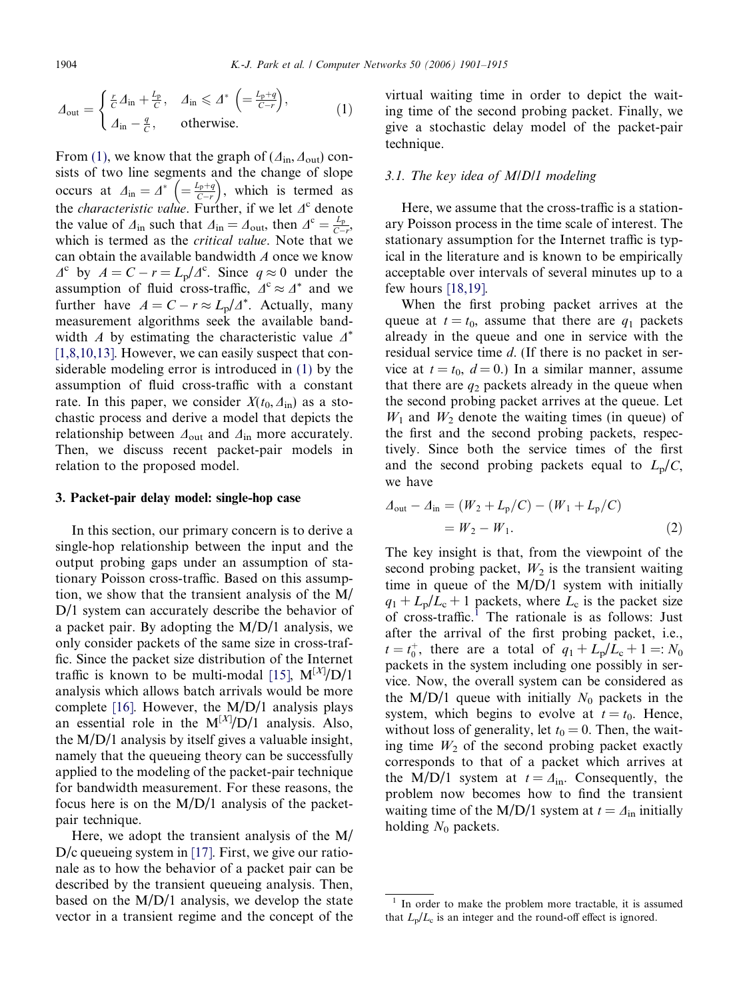<span id="page-3-0"></span>

$$
\Lambda_{\text{out}} = \begin{cases} \frac{r}{C} \Delta_{\text{in}} + \frac{L_{\text{p}}}{C}, & \Delta_{\text{in}} \leq \Delta^* \left( = \frac{L_{\text{p}} + q}{C - r} \right), \\ \Delta_{\text{in}} - \frac{q}{C}, & \text{otherwise.} \end{cases} (1)
$$

From [\(1\),](#page-2-0) we know that the graph of ( $\Delta_{\text{in}}$ ,  $\Delta_{\text{out}}$ ) consists of two line segments and the change of slope occurs at  $\Delta_{\text{in}} = \Delta^* \left( = \frac{L_p + q}{C - r} \right)$  $\left( = \frac{L_{p}+q}{C-r} \right)$ , which is termed as the *characteristic value*. Further, if we let  $\Delta^c$  denote the value of  $\Delta_{\text{in}}$  such that  $\Delta_{\text{in}} = \Delta_{\text{out}}$ , then  $\Delta^{\text{c}} = \frac{L_p}{C-r}$ , which is termed as the *critical value*. Note that we can obtain the available bandwidth A once we know  $\Delta^c$  by  $A = C - r = L_p/\Delta^c$ . Since  $q \approx 0$  under the assumption of fluid cross-traffic,  $\Delta^c \approx \Delta^*$  and we further have  $A = C - r \approx L_p/A^*$ . Actually, many measurement algorithms seek the available bandwidth A by estimating the characteristic value  $\Delta^*$ [\[1,8,10,13\].](#page-13-0) However, we can easily suspect that considerable modeling error is introduced in [\(1\)](#page-2-0) by the assumption of fluid cross-traffic with a constant rate. In this paper, we consider  $X(t_0, \Delta_{\text{in}})$  as a stochastic process and derive a model that depicts the relationship between  $\Delta_{\text{out}}$  and  $\Delta_{\text{in}}$  more accurately. Then, we discuss recent packet-pair models in relation to the proposed model.

#### 3. Packet-pair delay model: single-hop case

In this section, our primary concern is to derive a single-hop relationship between the input and the output probing gaps under an assumption of stationary Poisson cross-traffic. Based on this assumption, we show that the transient analysis of the M/ D/1 system can accurately describe the behavior of a packet pair. By adopting the M/D/1 analysis, we only consider packets of the same size in cross-traffic. Since the packet size distribution of the Internet traffic is known to be multi-modal [\[15\]](#page-14-0),  $M^{[X]}/D/1$ analysis which allows batch arrivals would be more complete [\[16\].](#page-14-0) However, the  $M/D/1$  analysis plays an essential role in the  $M^{[X]}/D/1$  analysis. Also, the M/D/1 analysis by itself gives a valuable insight, namely that the queueing theory can be successfully applied to the modeling of the packet-pair technique for bandwidth measurement. For these reasons, the focus here is on the M/D/1 analysis of the packetpair technique.

Here, we adopt the transient analysis of the M/ D/c queueing system in [\[17\].](#page-14-0) First, we give our rationale as to how the behavior of a packet pair can be described by the transient queueing analysis. Then, based on the M/D/1 analysis, we develop the state vector in a transient regime and the concept of the

virtual waiting time in order to depict the waiting time of the second probing packet. Finally, we give a stochastic delay model of the packet-pair technique.

#### 3.1. The key idea of M/D/1 modeling

Here, we assume that the cross-traffic is a stationary Poisson process in the time scale of interest. The stationary assumption for the Internet traffic is typical in the literature and is known to be empirically acceptable over intervals of several minutes up to a few hours [\[18,19\]](#page-14-0).

When the first probing packet arrives at the queue at  $t = t_0$ , assume that there are  $q_1$  packets already in the queue and one in service with the residual service time d. (If there is no packet in service at  $t = t_0$ ,  $d = 0$ .) In a similar manner, assume that there are  $q_2$  packets already in the queue when the second probing packet arrives at the queue. Let  $W_1$  and  $W_2$  denote the waiting times (in queue) of the first and the second probing packets, respectively. Since both the service times of the first and the second probing packets equal to  $L_p/C$ , we have

$$
\Delta_{\text{out}} - \Delta_{\text{in}} = (W_2 + L_{\text{p}}/C) - (W_1 + L_{\text{p}}/C)
$$
  
=  $W_2 - W_1.$  (2)

The key insight is that, from the viewpoint of the second probing packet,  $W_2$  is the transient waiting time in queue of the M/D/1 system with initially  $q_1 + L_p/L_c + 1$  packets, where  $L_c$  is the packet size of cross-traffic.<sup>1</sup> The rationale is as follows: Just after the arrival of the first probing packet, i.e.,  $t = t_0^+$ , there are a total of  $q_1 + L_p/L_c + 1 =: N_0$ packets in the system including one possibly in service. Now, the overall system can be considered as the M/D/1 queue with initially  $N_0$  packets in the system, which begins to evolve at  $t = t_0$ . Hence, without loss of generality, let  $t_0 = 0$ . Then, the waiting time  $W_2$  of the second probing packet exactly corresponds to that of a packet which arrives at the M/D/1 system at  $t = \Delta_{\text{in}}$ . Consequently, the problem now becomes how to find the transient waiting time of the M/D/1 system at  $t = \Delta_{\text{in}}$  initially holding  $N_0$  packets.

 $1$  In order to make the problem more tractable, it is assumed that  $L_p/L_c$  is an integer and the round-off effect is ignored.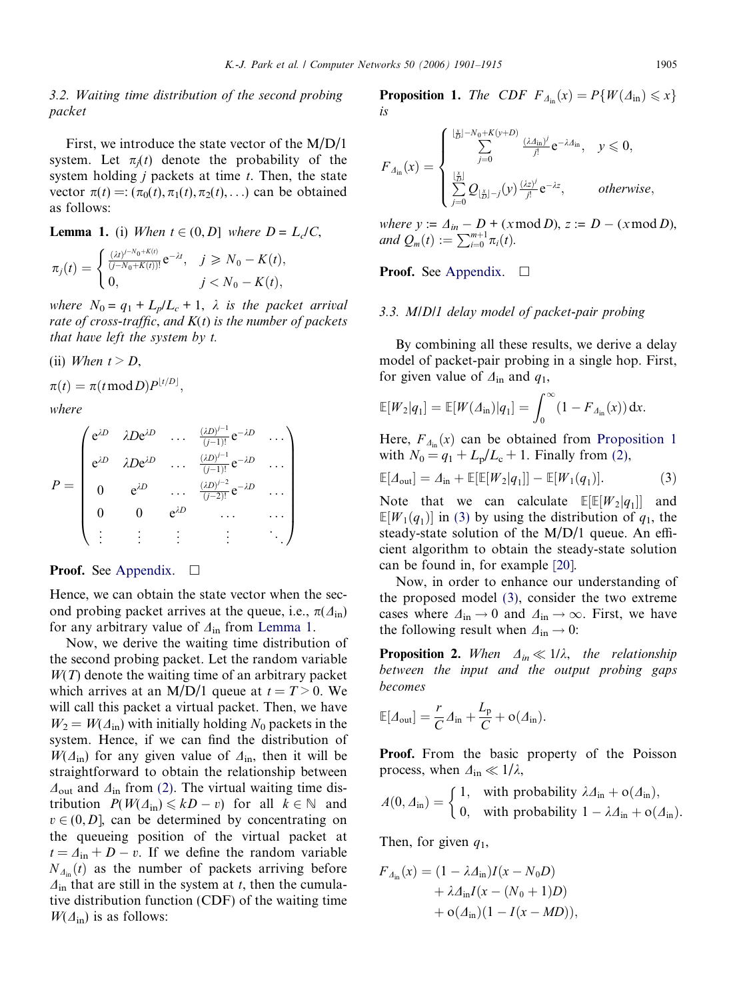# <span id="page-4-0"></span>3.2. Waiting time distribution of the second probing packet

First, we introduce the state vector of the M/D/1 system. Let  $\pi_i(t)$  denote the probability of the system holding  $j$  packets at time  $t$ . Then, the state vector  $\pi(t) =: (\pi_0(t), \pi_1(t), \pi_2(t),...)$  can be obtained as follows:

## **Lemma 1.** (i) When  $t \in (0, D]$  where  $D = L_c/C$ ,

$$
\pi_j(t) = \begin{cases} \frac{(\lambda t)^{j - N_0 + K(t)}}{(j - N_0 + K(t))!} e^{-\lambda t}, & j \ge N_0 - K(t), \\ 0, & j < N_0 - K(t), \end{cases}
$$

where  $N_0 = q_1 + L_p/L_c + 1$ ,  $\lambda$  is the packet arrival rate of cross-traffic, and  $K(t)$  is the number of packets that have left the system by t.

(ii) When 
$$
t > D
$$
,

$$
\pi(t) = \pi(t \operatorname{mod} D) P^{\lfloor t/D \rfloor},
$$

where

$$
P = \begin{pmatrix} e^{\lambda D} & \lambda De^{\lambda D} & \cdots & \frac{(\lambda D)^{j-1}}{(j-1)!} e^{-\lambda D} & \cdots \\ e^{\lambda D} & \lambda De^{\lambda D} & \cdots & \frac{(\lambda D)^{j-1}}{(j-1)!} e^{-\lambda D} & \cdots \\ 0 & e^{\lambda D} & \cdots & \frac{(\lambda D)^{j-2}}{(j-2)!} e^{-\lambda D} & \cdots \\ 0 & 0 & e^{\lambda D} & \cdots & \cdots \\ \vdots & \vdots & \vdots & \vdots & \ddots \end{pmatrix}
$$

# **Proof.** See Appendix.  $\Box$

Hence, we can obtain the state vector when the second probing packet arrives at the queue, i.e.,  $\pi(\Delta_{\text{in}})$ for any arbitrary value of  $\Delta_{\text{in}}$  from Lemma 1.

Now, we derive the waiting time distribution of the second probing packet. Let the random variable  $W(T)$  denote the waiting time of an arbitrary packet which arrives at an M/D/1 queue at  $t = T > 0$ . We will call this packet a virtual packet. Then, we have  $W_2 = W(\Delta_{\rm in})$  with initially holding N<sub>0</sub> packets in the system. Hence, if we can find the distribution of  $W(\Delta_{\text{in}})$  for any given value of  $\Delta_{\text{in}}$ , then it will be straightforward to obtain the relationship between  $\Delta_{\text{out}}$  and  $\Delta_{\text{in}}$  from [\(2\).](#page-3-0) The virtual waiting time distribution  $P(W(\Delta_{\text{in}}) \le kD - v)$  for all  $k \in \mathbb{N}$  and  $v \in (0, D]$ , can be determined by concentrating on the queueing position of the virtual packet at  $t = \Delta_{\text{in}} + D - v$ . If we define the random variable  $N_{\Delta_{\text{in}}}(t)$  as the number of packets arriving before  $\Delta_{\rm in}$  that are still in the system at t, then the cumulative distribution function (CDF) of the waiting time  $W(\Delta_{\text{in}})$  is as follows:

**Proposition 1.** The CDF  $F_{A_{in}}(x) = P\{W(\Delta_{in}) \leq x\}$ is

$$
F_{\mathcal{A}_{\text{in}}}(x) = \begin{cases} \sum_{j=0}^{\lfloor \frac{x}{D} \rfloor - N_0 + K(y+D)} \frac{(\lambda \mathcal{A}_{\text{in}})^j}{j!} e^{-\lambda \mathcal{A}_{\text{in}}}, & y \leq 0, \\ \sum_{j=0}^{\lfloor \frac{x}{D} \rfloor} \mathcal{Q}_{\lfloor \frac{x}{D} \rfloor - j}(y) \frac{(\lambda z)^j}{j!} e^{-\lambda z}, & otherwise, \end{cases}
$$

where  $y := \Delta_{in} - D + (x \mod D), z := D - (x \mod D),$ <br>and  $Q_m(t) := \sum_{i=0}^{m+1} \pi_i(t)$ .

## **Proof.** See Appendix.  $\Box$

# 3.3. M/D/1 delay model of packet-pair probing

By combining all these results, we derive a delay model of packet-pair probing in a single hop. First, for given value of  $\Delta_{\text{in}}$  and  $q_1$ ,

$$
\mathbb{E}[W_2|q_1] = \mathbb{E}[W(\Lambda_{\text{in}})|q_1] = \int_0^\infty (1 - F_{\Lambda_{\text{in}}}(x)) dx.
$$

Here,  $F_{\Delta_{\text{in}}}(x)$  can be obtained from Proposition 1 with  $N_0 = q_1 + L_p/L_c + 1$ . Finally from [\(2\),](#page-3-0)

$$
\mathbb{E}[A_{\text{out}}] = A_{\text{in}} + \mathbb{E}[\mathbb{E}[W_2|q_1]] - \mathbb{E}[W_1(q_1)]. \tag{3}
$$

Note that we can calculate  $\mathbb{E}[\mathbb{E}[W_2|q_1]]$  and  $\mathbb{E}[W_1(q_1)]$  in (3) by using the distribution of  $q_1$ , the steady-state solution of the M/D/1 queue. An efficient algorithm to obtain the steady-state solution can be found in, for example [\[20\]](#page-14-0).

Now, in order to enhance our understanding of the proposed model (3), consider the two extreme cases where  $\Delta_{\text{in}} \rightarrow 0$  and  $\Delta_{\text{in}} \rightarrow \infty$ . First, we have the following result when  $\Delta_{\text{in}} \rightarrow 0$ :

**Proposition 2.** When  $\Delta_{in} \ll 1/\lambda$ , the relationship between the input and the output probing gaps becomes

$$
\mathbb{E}[A_{\text{out}}] = \frac{r}{C}A_{\text{in}} + \frac{L_{\text{p}}}{C} + o(A_{\text{in}}).
$$

Proof. From the basic property of the Poisson process, when  $\Delta_{\rm in} \ll 1/\lambda$ ,

$$
A(0, \Delta_{\text{in}}) = \begin{cases} 1, & \text{with probability } \lambda \Delta_{\text{in}} + o(\Delta_{\text{in}}), \\ 0, & \text{with probability } 1 - \lambda \Delta_{\text{in}} + o(\Delta_{\text{in}}). \end{cases}
$$

Then, for given  $q_1$ ,

$$
F_{\Delta_{\text{in}}}(x) = (1 - \lambda \Delta_{\text{in}})I(x - N_0D)
$$
  
+  $\lambda \Delta_{\text{in}}I(x - (N_0 + 1)D)$   
+  $\mathcal{O}(\Delta_{\text{in}})(1 - I(x - MD)),$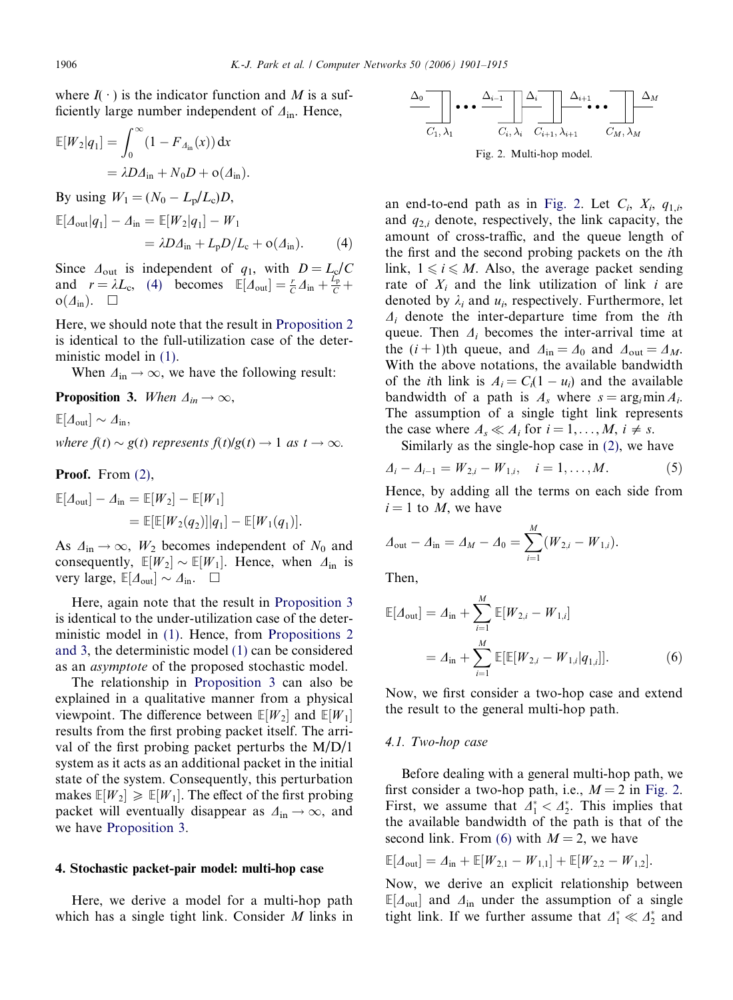<span id="page-5-0"></span>where  $I(\cdot)$  is the indicator function and M is a sufficiently large number independent of  $\Delta_{\text{in}}$ . Hence,

$$
\mathbb{E}[W_2|q_1] = \int_0^\infty (1 - F_{\Delta_{\text{in}}}(x)) dx
$$
  
=  $\lambda D \Delta_{\text{in}} + N_0 D + o(\Delta_{\text{in}}).$ 

By using  $W_1 = (N_0 - L_p/L_c)D$ ,

$$
\mathbb{E}[A_{\text{out}}|q_1] - A_{\text{in}} = \mathbb{E}[W_2|q_1] - W_1
$$
  
=  $\lambda D A_{\text{in}} + L_p D / L_c + o(A_{\text{in}}).$  (4)

Since  $\Delta_{\text{out}}$  is independent of  $q_1$ , with  $D = L_c/C$ and  $r = \lambda L_c$ , (4) becomes  $\mathbb{E}[A_{\text{out}}] = \frac{r}{C} A_{\text{in}} + \frac{L_p}{C} +$  $o(\Delta_{\rm in})$ .  $\Box$ 

Here, we should note that the result in [Proposition 2](#page-4-0) is identical to the full-utilization case of the deterministic model in [\(1\).](#page-2-0)

When  $\Delta_{\rm in} \rightarrow \infty$ , we have the following result:

**Proposition 3.** When  $\Delta_{in} \rightarrow \infty$ ,

 $\mathbb{E}[A_{\text{out}}] \sim A_{\text{in}},$ 

where  $f(t) \sim g(t)$  represents  $f(t)/g(t) \rightarrow 1$  as  $t \rightarrow \infty$ .

Proof. From  $(2)$ ,

$$
\mathbb{E}[A_{\text{out}}] - A_{\text{in}} = \mathbb{E}[W_2] - \mathbb{E}[W_1]
$$
  
= 
$$
\mathbb{E}[\mathbb{E}[W_2(q_2)][q_1] - \mathbb{E}[W_1(q_1)].
$$

As  $\Delta_{\text{in}} \rightarrow \infty$ ,  $W_2$  becomes independent of  $N_0$  and consequently,  $\mathbb{E}[W_2] \sim \mathbb{E}[W_1]$ . Hence, when  $\Delta_{\text{in}}$  is very large,  $\mathbb{E}[\Delta_{\text{out}}] \sim \Delta_{\text{in}}$ .  $\Box$ 

Here, again note that the result in Proposition 3 is identical to the under-utilization case of the deterministic model in [\(1\)](#page-2-0). Hence, from [Propositions 2](#page-4-0) [and 3,](#page-4-0) the deterministic model [\(1\)](#page-2-0) can be considered as an asymptote of the proposed stochastic model.

The relationship in Proposition 3 can also be explained in a qualitative manner from a physical viewpoint. The difference between  $\mathbb{E}[W_2]$  and  $\mathbb{E}[W_1]$ results from the first probing packet itself. The arrival of the first probing packet perturbs the M/D/1 system as it acts as an additional packet in the initial state of the system. Consequently, this perturbation makes  $\mathbb{E}[W_1] \geq \mathbb{E}[W_1]$ . The effect of the first probing packet will eventually disappear as  $\Delta_{\rm in} \rightarrow \infty$ , and we have Proposition 3.

#### 4. Stochastic packet-pair model: multi-hop case

Here, we derive a model for a multi-hop path which has a single tight link. Consider  $M$  links in



Fig. 2. Multi-hop model.

an end-to-end path as in Fig. 2. Let  $C_i$ ,  $X_i$ ,  $q_{1,i}$ , and  $q_{2,i}$  denote, respectively, the link capacity, the amount of cross-traffic, and the queue length of the first and the second probing packets on the ith link,  $1 \le i \le M$ . Also, the average packet sending rate of  $X_i$  and the link utilization of link i are denoted by  $\lambda_i$  and  $u_i$ , respectively. Furthermore, let  $\Delta_i$  denote the inter-departure time from the *i*th queue. Then  $\Delta_i$  becomes the inter-arrival time at the  $(i + 1)$ th queue, and  $\Delta_{in} = \Delta_0$  and  $\Delta_{out} = \Delta_M$ . With the above notations, the available bandwidth of the *i*th link is  $A_i = C_i(1 - u_i)$  and the available bandwidth of a path is  $A_s$  where  $s = \arg_i \min A_i$ . The assumption of a single tight link represents the case where  $A_s \ll A_i$  for  $i = 1, ..., M, i \neq s$ .

Similarly as the single-hop case in [\(2\),](#page-3-0) we have

$$
\Delta_i - \Delta_{i-1} = W_{2,i} - W_{1,i}, \quad i = 1, \dots, M. \tag{5}
$$

Hence, by adding all the terms on each side from  $i = 1$  to M, we have

$$
\varDelta_{\text{out}} - \varDelta_{\text{in}} = \varDelta_M - \varDelta_0 = \sum_{i=1}^M (W_{2,i} - W_{1,i}).
$$

Then,

$$
\mathbb{E}[A_{\text{out}}] = A_{\text{in}} + \sum_{i=1}^{M} \mathbb{E}[W_{2,i} - W_{1,i}]
$$
  
=  $A_{\text{in}} + \sum_{i=1}^{M} \mathbb{E}[\mathbb{E}[W_{2,i} - W_{1,i}|q_{1,i}]].$  (6)

Now, we first consider a two-hop case and extend the result to the general multi-hop path.

#### 4.1. Two-hop case

Before dealing with a general multi-hop path, we first consider a two-hop path, i.e.,  $M = 2$  in Fig. 2. First, we assume that  $\Delta_1^* < \Delta_2^*$ . This implies that the available bandwidth of the path is that of the second link. From (6) with  $M = 2$ , we have

$$
\mathbb{E}[A_{\text{out}}] = A_{\text{in}} + \mathbb{E}[W_{2,1} - W_{1,1}] + \mathbb{E}[W_{2,2} - W_{1,2}].
$$

Now, we derive an explicit relationship between  $\mathbb{E}[\Lambda_{\text{out}}]$  and  $\Lambda_{\text{in}}$  under the assumption of a single tight link. If we further assume that  $\Lambda_1^* \ll \Lambda_2^*$  and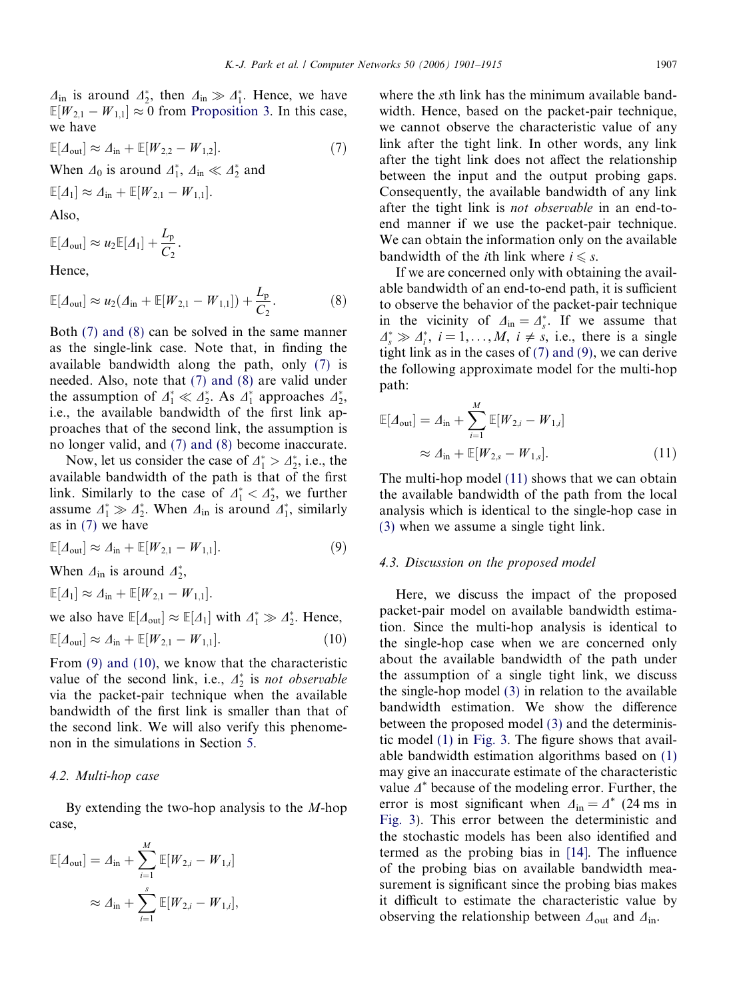<span id="page-6-0"></span> $\Delta_{\text{in}}$  is around  $\Delta_2^*$ , then  $\Delta_{\text{in}} \gg \Delta_1^*$ . Hence, we have  $\mathbb{E}[W_{2,1} - W_{1,1}] \approx 0$  from [Proposition 3](#page-5-0). In this case, we have

$$
\mathbb{E}[A_{\text{out}}] \approx A_{\text{in}} + \mathbb{E}[W_{2,2} - W_{1,2}].
$$
\n
$$
\text{When } A_0 \text{ is around } A_1^*, A_{\text{in}} \ll A_2^* \text{ and}
$$
\n
$$
\mathbb{E}[A_1] \approx A_{\text{in}} + \mathbb{E}[W_{2,1} - W_{1,1}].
$$
\n
$$
(7)
$$

Also,

$$
\mathbb{E}[A_{\text{out}}] \approx u_2 \mathbb{E}[A_1] + \frac{L_{\text{p}}}{C_2}.
$$

Hence,

$$
\mathbb{E}[A_{\text{out}}] \approx u_2(A_{\text{in}} + \mathbb{E}[W_{2,1} - W_{1,1}]) + \frac{L_{\text{p}}}{C_2}.
$$
 (8)

Both (7) and (8) can be solved in the same manner as the single-link case. Note that, in finding the available bandwidth along the path, only (7) is needed. Also, note that (7) and (8) are valid under the assumption of  $\Delta_1^* \ll \Delta_2^*$ . As  $\Delta_1^*$  approaches  $\Delta_2^*$ , i.e., the available bandwidth of the first link approaches that of the second link, the assumption is no longer valid, and (7) and (8) become inaccurate.

Now, let us consider the case of  $\Delta_1^* > \Delta_2^*$ , i.e., the available bandwidth of the path is that of the first link. Similarly to the case of  $\Delta_1^* < \Delta_2^*$ , we further assume  $\Delta_1^* \gg \Delta_2^*$ . When  $\Delta_{\text{in}}$  is around  $\Delta_1^*$ , similarly as in (7) we have

$$
\mathbb{E}[A_{\text{out}}] \approx A_{\text{in}} + \mathbb{E}[W_{2,1} - W_{1,1}]. \tag{9}
$$

When  $\Delta_{\text{in}}$  is around  $\Delta_2^*$ ,

$$
\mathbb{E}[A_1] \approx \Delta_{\text{in}} + \mathbb{E}[W_{2,1} - W_{1,1}].
$$
  
we also have  $\mathbb{E}[\Delta_{\text{out}}] \approx \mathbb{E}[A_1]$  with  $\Delta_1^* \gg \Delta_2^*$ . Hence,

$$
\mathbb{E}[A_{\text{out}}] \approx A_{\text{in}} + \mathbb{E}[W_{2,1} - W_{1,1}]. \tag{10}
$$

From (9) and (10), we know that the characteristic value of the second link, i.e.,  $\Delta_2^*$  is *not observable* via the packet-pair technique when the available bandwidth of the first link is smaller than that of the second link. We will also verify this phenomenon in the simulations in Section [5](#page-7-0).

## 4.2. Multi-hop case

By extending the two-hop analysis to the  $M$ -hop case,

$$
\mathbb{E}[A_{\text{out}}] = A_{\text{in}} + \sum_{i=1}^{M} \mathbb{E}[W_{2,i} - W_{1,i}]
$$
  

$$
\approx A_{\text{in}} + \sum_{i=1}^{s} \mathbb{E}[W_{2,i} - W_{1,i}],
$$

where the sth link has the minimum available bandwidth. Hence, based on the packet-pair technique, we cannot observe the characteristic value of any link after the tight link. In other words, any link after the tight link does not affect the relationship between the input and the output probing gaps. Consequently, the available bandwidth of any link after the tight link is not observable in an end-toend manner if we use the packet-pair technique. We can obtain the information only on the available bandwidth of the *i*th link where  $i \leq s$ .

If we are concerned only with obtaining the available bandwidth of an end-to-end path, it is sufficient to observe the behavior of the packet-pair technique in the vicinity of  $\Delta_{\text{in}} = \Delta_s^*$ . If we assume that  $\Delta_s^* \gg \Delta_i^*$ ,  $i = 1, ..., M$ ,  $i \neq s$ , i.e., there is a single tight link as in the cases of (7) and (9), we can derive the following approximate model for the multi-hop path:

$$
\mathbb{E}[A_{\text{out}}] = A_{\text{in}} + \sum_{i=1}^{M} \mathbb{E}[W_{2,i} - W_{1,i}]
$$
  
 
$$
\approx A_{\text{in}} + \mathbb{E}[W_{2,s} - W_{1,s}]. \tag{11}
$$

The multi-hop model (11) shows that we can obtain the available bandwidth of the path from the local analysis which is identical to the single-hop case in [\(3\)](#page-4-0) when we assume a single tight link.

#### 4.3. Discussion on the proposed model

Here, we discuss the impact of the proposed packet-pair model on available bandwidth estimation. Since the multi-hop analysis is identical to the single-hop case when we are concerned only about the available bandwidth of the path under the assumption of a single tight link, we discuss the single-hop model [\(3\)](#page-4-0) in relation to the available bandwidth estimation. We show the difference between the proposed model [\(3\)](#page-4-0) and the deterministic model [\(1\)](#page-2-0) in [Fig. 3.](#page-7-0) The figure shows that available bandwidth estimation algorithms based on [\(1\)](#page-2-0) may give an inaccurate estimate of the characteristic value  $\Delta^*$  because of the modeling error. Further, the error is most significant when  $\Delta_{\text{in}} = \Delta^*$  (24 ms in [Fig. 3\)](#page-7-0). This error between the deterministic and the stochastic models has been also identified and termed as the probing bias in [\[14\]](#page-14-0). The influence of the probing bias on available bandwidth measurement is significant since the probing bias makes it difficult to estimate the characteristic value by observing the relationship between  $\Delta_{\text{out}}$  and  $\Delta_{\text{in}}$ .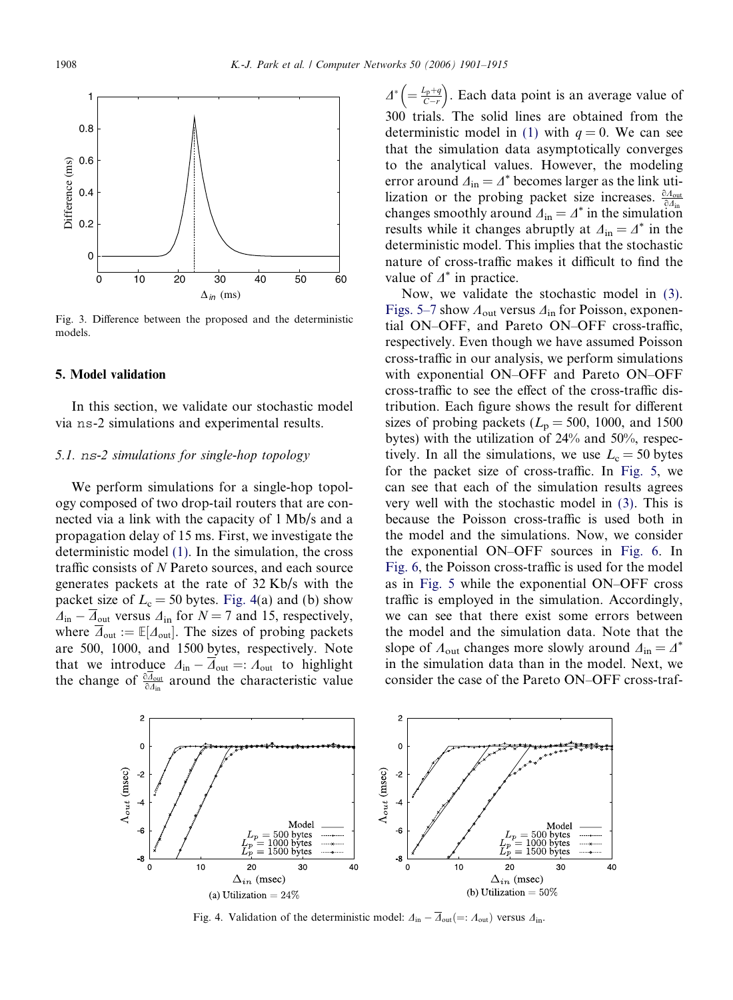<span id="page-7-0"></span>

Fig. 3. Difference between the proposed and the deterministic models.

# 5. Model validation

In this section, we validate our stochastic model via ns-2 simulations and experimental results.

# 5.1. ns-2 simulations for single-hop topology

We perform simulations for a single-hop topology composed of two drop-tail routers that are connected via a link with the capacity of 1 Mb/s and a propagation delay of 15 ms. First, we investigate the deterministic model [\(1\).](#page-2-0) In the simulation, the cross traffic consists of N Pareto sources, and each source generates packets at the rate of 32 Kb/s with the packet size of  $L_c = 50$  bytes. Fig. 4(a) and (b) show  $\Delta_{\text{in}} - \overline{\Delta}_{\text{out}}$  versus  $\Delta_{\text{in}}$  for  $N = 7$  and 15, respectively, where  $\overline{\Delta}_{\text{out}} := \mathbb{E}[\Delta_{\text{out}}]$ . The sizes of probing packets are 500, 1000, and 1500 bytes, respectively. Note that we introduce  $\Delta_{\text{in}} - \Delta_{\text{out}} =: \Lambda_{\text{out}}$  to highlight the change of  $\frac{\partial \Delta_{\text{out}}}{\partial \Delta_{\text{in}}}$  around the characteristic value

 $\varDelta^* \Big( = \frac{L_p + q}{C - r}$  $\left( = \frac{L_p + q}{C - r} \right)$ . Each data point is an average value of 300 trials. The solid lines are obtained from the deterministic model in [\(1\)](#page-2-0) with  $q = 0$ . We can see that the simulation data asymptotically converges to the analytical values. However, the modeling error around  $\Delta_{\text{in}} = \Delta^*$  becomes larger as the link utilization or the probing packet size increases.  $\frac{\partial A_{\text{out}}}{\partial A_{\text{in}}}$ changes smoothly around  $\Delta_{\text{in}} = \Delta^*$  in the simulation results while it changes abruptly at  $\Delta_{in} = \Delta^*$  in the deterministic model. This implies that the stochastic nature of cross-traffic makes it difficult to find the value of  $\varDelta^*$  in practice.

Now, we validate the stochastic model in [\(3\).](#page-4-0) [Figs. 5–7](#page-8-0) show  $A_{\text{out}}$  versus  $A_{\text{in}}$  for Poisson, exponential ON–OFF, and Pareto ON–OFF cross-traffic, respectively. Even though we have assumed Poisson cross-traffic in our analysis, we perform simulations with exponential ON–OFF and Pareto ON–OFF cross-traffic to see the effect of the cross-traffic distribution. Each figure shows the result for different sizes of probing packets ( $L_p = 500$ , 1000, and 1500 bytes) with the utilization of 24% and 50%, respectively. In all the simulations, we use  $L_c = 50$  bytes for the packet size of cross-traffic. In [Fig. 5](#page-8-0), we can see that each of the simulation results agrees very well with the stochastic model in [\(3\)](#page-4-0). This is because the Poisson cross-traffic is used both in the model and the simulations. Now, we consider the exponential ON–OFF sources in [Fig. 6](#page-8-0). In [Fig. 6,](#page-8-0) the Poisson cross-traffic is used for the model as in [Fig. 5](#page-8-0) while the exponential ON–OFF cross traffic is employed in the simulation. Accordingly, we can see that there exist some errors between the model and the simulation data. Note that the slope of  $\Lambda_{\text{out}}$  changes more slowly around  $\Delta_{\text{in}} = \Delta^*$ in the simulation data than in the model. Next, we consider the case of the Pareto ON–OFF cross-traf-



Fig. 4. Validation of the deterministic model:  $\Delta_{\text{in}} - \Delta_{\text{out}} (=: \Lambda_{\text{out}})$  versus  $\Delta_{\text{in}}$ .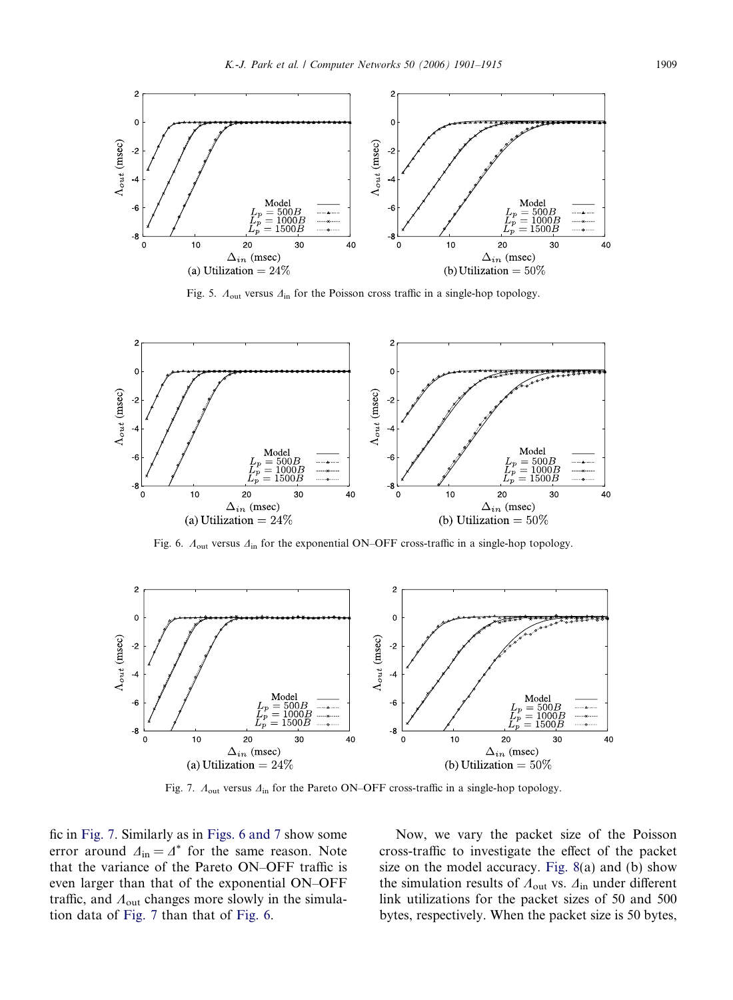<span id="page-8-0"></span>

Fig. 5.  $A_{out}$  versus  $A_{in}$  for the Poisson cross traffic in a single-hop topology.



Fig. 6.  $\Lambda_{\text{out}}$  versus  $\Delta_{\text{in}}$  for the exponential ON–OFF cross-traffic in a single-hop topology.



Fig. 7.  $A_{\text{out}}$  versus  $A_{\text{in}}$  for the Pareto ON–OFF cross-traffic in a single-hop topology.

fic in Fig. 7. Similarly as in Figs. 6 and 7 show some error around  $\Delta_{\text{in}} = \Delta^*$  for the same reason. Note that the variance of the Pareto ON–OFF traffic is even larger than that of the exponential ON–OFF traffic, and  $A_{\text{out}}$  changes more slowly in the simulation data of Fig. 7 than that of Fig. 6.

Now, we vary the packet size of the Poisson cross-traffic to investigate the effect of the packet size on the model accuracy. [Fig. 8\(](#page-9-0)a) and (b) show the simulation results of  $A_{\text{out}}$  vs.  $A_{\text{in}}$  under different link utilizations for the packet sizes of 50 and 500 bytes, respectively. When the packet size is 50 bytes,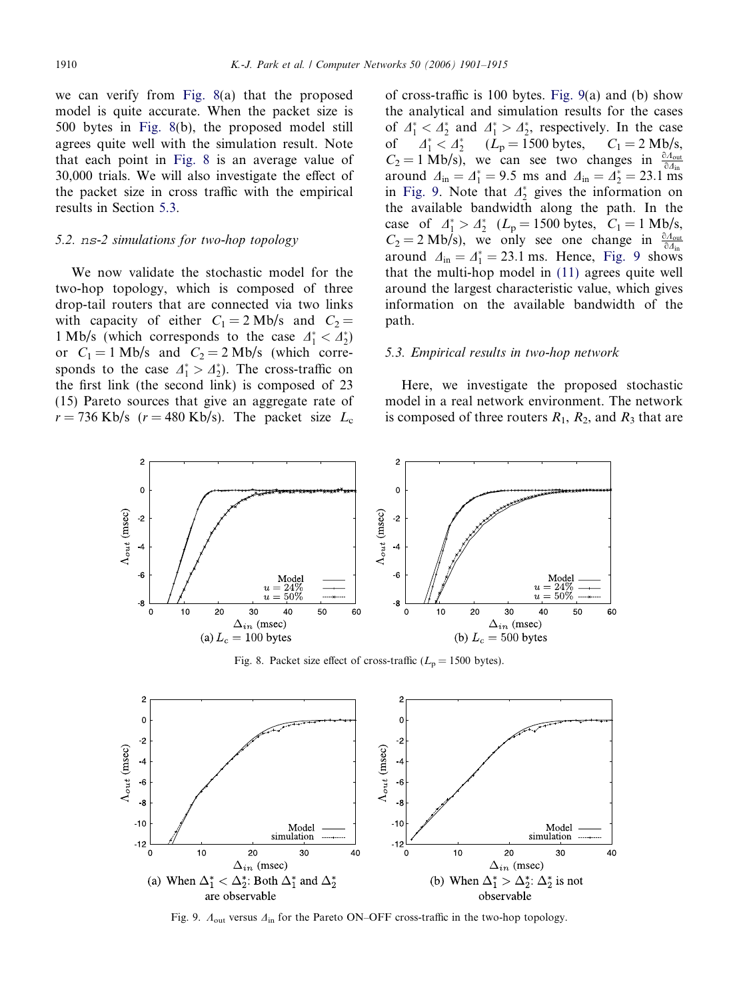<span id="page-9-0"></span>we can verify from Fig. 8(a) that the proposed model is quite accurate. When the packet size is 500 bytes in Fig. 8(b), the proposed model still agrees quite well with the simulation result. Note that each point in Fig. 8 is an average value of 30,000 trials. We will also investigate the effect of the packet size in cross traffic with the empirical results in Section 5.3.

# 5.2. ns-2 simulations for two-hop topology

We now validate the stochastic model for the two-hop topology, which is composed of three drop-tail routers that are connected via two links with capacity of either  $C_1 = 2$  Mb/s and  $C_2 =$ 1 Mb/s (which corresponds to the case  $\Delta_1^* < \Delta_2^*$ ) or  $C_1 = 1$  Mb/s and  $C_2 = 2$  Mb/s (which corresponds to the case  $\Delta_1^* > \Delta_2^*$ ). The cross-traffic on the first link (the second link) is composed of 23 (15) Pareto sources that give an aggregate rate of  $r = 736$  Kb/s ( $r = 480$  Kb/s). The packet size  $L_c$  of cross-traffic is 100 bytes. Fig. 9(a) and (b) show the analytical and simulation results for the cases of  $\Delta_1^* < \Delta_2^*$  and  $\Delta_1^* > \Delta_2^*$ , respectively. In the case of  $\Delta_1^* < \Delta_2^*$   $(L_p = 1500 \text{ bytes}, C_1 = 2 \text{ Mb/s},$  $C_2 = 1$  Mb/s), we can see two changes in  $\frac{\partial A_{\text{out}}}{\partial A_{\text{in}}}$ around  $\Delta_{\text{in}} = \Delta_{1}^{*} = 9.5$  ms and  $\Delta_{\text{in}} = \Delta_{2}^{*} = 23.1$  ms in Fig. 9. Note that  $\mathcal{A}_2^*$  gives the information on the available bandwidth along the path. In the case of  $\Delta_1^* > \Delta_2^*$  ( $L_p = 1500$  bytes,  $C_1 = 1$  Mb/s,  $C_2 = 2$  Mb/s), we only see one change in  $\frac{\partial A_{\text{out}}}{\partial A_{\text{in}}}$ around  $\Delta_{\text{in}} = \Delta_1^* = 23.1 \text{ ms.}$  Hence, Fig. 9 shows that the multi-hop model in [\(11\)](#page-6-0) agrees quite well around the largest characteristic value, which gives information on the available bandwidth of the path.

#### 5.3. Empirical results in two-hop network

Here, we investigate the proposed stochastic model in a real network environment. The network is composed of three routers  $R_1$ ,  $R_2$ , and  $R_3$  that are

![](_page_9_Figure_7.jpeg)

Fig. 8. Packet size effect of cross-traffic ( $L_p = 1500$  bytes).

![](_page_9_Figure_9.jpeg)

Fig. 9.  $A_{\text{out}}$  versus  $A_{\text{in}}$  for the Pareto ON–OFF cross-traffic in the two-hop topology.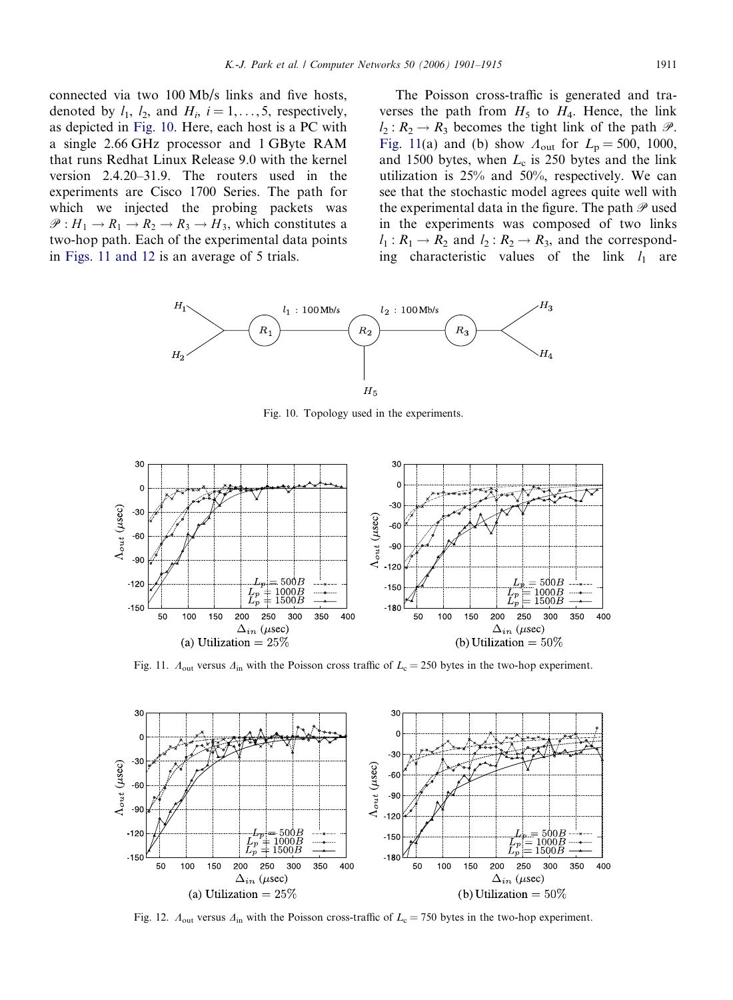<span id="page-10-0"></span>connected via two 100 Mb/s links and five hosts, denoted by  $l_1$ ,  $l_2$ , and  $H_i$ ,  $i = 1, \ldots, 5$ , respectively, as depicted in Fig. 10. Here, each host is a PC with a single 2.66 GHz processor and 1 GByte RAM that runs Redhat Linux Release 9.0 with the kernel version 2.4.20–31.9. The routers used in the experiments are Cisco 1700 Series. The path for which we injected the probing packets was  $\mathscr{P}: H_1 \to R_1 \to R_2 \to R_3 \to H_3$ , which constitutes a two-hop path. Each of the experimental data points in Figs. 11 and 12 is an average of 5 trials.

The Poisson cross-traffic is generated and traverses the path from  $H_5$  to  $H_4$ . Hence, the link  $l_2: R_2 \rightarrow R_3$  becomes the tight link of the path  $\mathcal{P}$ . Fig. 11(a) and (b) show  $A_{\text{out}}$  for  $L_{\text{p}} = 500$ , 1000, and 1500 bytes, when  $L_c$  is 250 bytes and the link utilization is 25% and 50%, respectively. We can see that the stochastic model agrees quite well with the experimental data in the figure. The path  $\mathscr P$  used in the experiments was composed of two links  $l_1 : R_1 \rightarrow R_2$  and  $l_2 : R_2 \rightarrow R_3$ , and the corresponding characteristic values of the link  $l_1$  are

![](_page_10_Figure_3.jpeg)

Fig. 10. Topology used in the experiments.

![](_page_10_Figure_5.jpeg)

Fig. 11.  $A_{\text{out}}$  versus  $A_{\text{in}}$  with the Poisson cross traffic of  $L_c = 250$  bytes in the two-hop experiment.

![](_page_10_Figure_7.jpeg)

Fig. 12.  $A_{\text{out}}$  versus  $A_{\text{in}}$  with the Poisson cross-traffic of  $L_{\text{c}} = 750$  bytes in the two-hop experiment.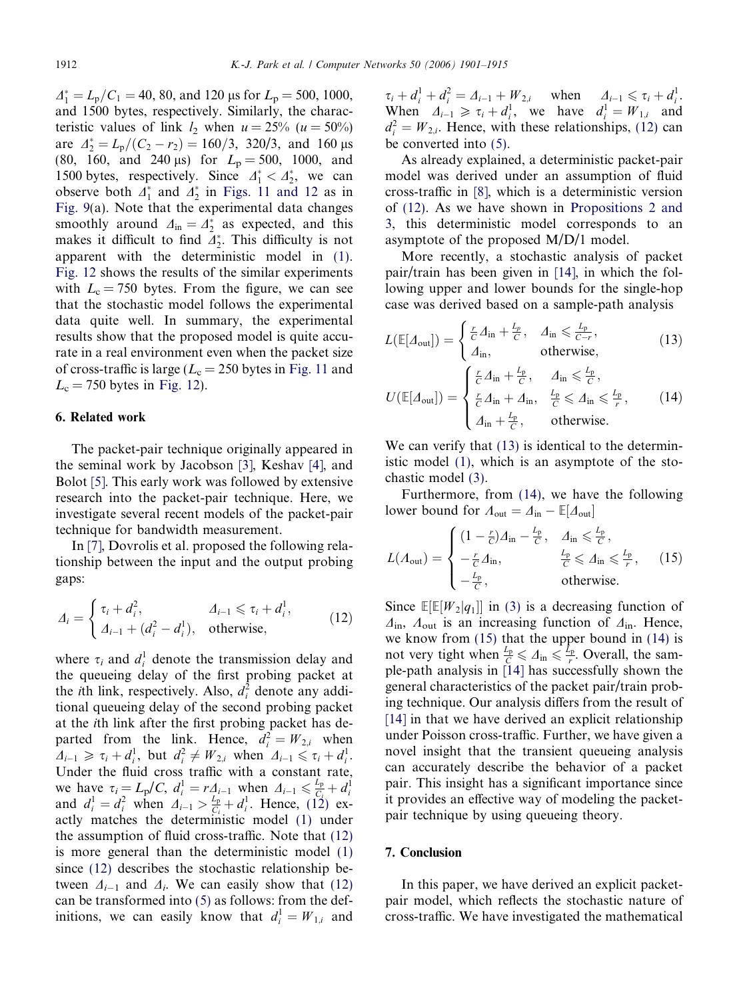<span id="page-11-0"></span> $\Delta_1^* = L_{\rm p}/C_1 = 40, 80, \text{ and } 120 \text{ }\mu\text{s} \text{ for } L_{\rm p} = 500, 1000,$ and 1500 bytes, respectively. Similarly, the characteristic values of link  $l_2$  when  $u = 25\%$  ( $u = 50\%$ ) are  $\Delta_2^* = L_{\rm p}/(C_2 - r_2) = 160/3$ , 320/3, and 160 µs (80, 160, and 240  $\mu$ s) for  $L_p = 500$ , 1000, and 1500 bytes, respectively. Since  $\Delta_1^* < \Delta_2^*$ , we can observe both  $\Delta_1^*$  and  $\Delta_2^*$  in [Figs. 11 and 12](#page-10-0) as in [Fig. 9\(](#page-9-0)a). Note that the experimental data changes smoothly around  $\Delta_{\text{in}} = \Delta_2^*$  as expected, and this makes it difficult to find  $\mathcal{A}_2^*$ . This difficulty is not apparent with the deterministic model in [\(1\).](#page-2-0) [Fig. 12](#page-10-0) shows the results of the similar experiments with  $L_c = 750$  bytes. From the figure, we can see that the stochastic model follows the experimental data quite well. In summary, the experimental results show that the proposed model is quite accurate in a real environment even when the packet size of cross-traffic is large ( $L_c = 250$  bytes in [Fig. 11](#page-10-0) and  $L_c = 750$  bytes in [Fig. 12](#page-10-0)).

## 6. Related work

The packet-pair technique originally appeared in the seminal work by Jacobson [\[3\],](#page-13-0) Keshav [\[4\],](#page-13-0) and Bolot [\[5\].](#page-13-0) This early work was followed by extensive research into the packet-pair technique. Here, we investigate several recent models of the packet-pair technique for bandwidth measurement.

In [\[7\]](#page-14-0), Dovrolis et al. proposed the following relationship between the input and the output probing gaps:

$$
\Delta_i = \begin{cases} \tau_i + d_i^2, & \Delta_{i-1} \leq \tau_i + d_i^1, \\ \Delta_{i-1} + (d_i^2 - d_i^1), & \text{otherwise,} \end{cases}
$$
(12)

where  $\tau_i$  and  $d_i^1$  denote the transmission delay and the queueing delay of the first probing packet at the *i*th link, respectively. Also,  $d_i^2$  denote any additional queueing delay of the second probing packet at the ith link after the first probing packet has departed from the link. Hence,  $d_i^2 = W_{2,i}$  when  $A_{i-1} \geq \tau_i + d_i^1$ , but  $d_i^2 \neq W_{2,i}$  when  $A_{i-1} \leq \tau_i + d_i^1$ . Under the fluid cross traffic with a constant rate, we have  $\tau_i = L_p/C$ ,  $d_i^1 = rA_{i-1}$  when  $A_{i-1} \le \frac{L_p}{C_i} + d_i^1$ <br>and  $d_i^1 = d_i^2$  when  $A_{i-1} > \frac{L_p}{C_i} + d_i^1$ . Hence, (12) exactly matches the deterministic model [\(1\)](#page-2-0) under the assumption of fluid cross-traffic. Note that (12) is more general than the deterministic model [\(1\)](#page-2-0) since (12) describes the stochastic relationship between  $\Delta_{i-1}$  and  $\Delta_i$ . We can easily show that (12) can be transformed into [\(5\)](#page-5-0) as follows: from the definitions, we can easily know that  $d_i^1 = W_{1,i}$  and

 $\tau_i + d_i^1 + d_i^2 = \Delta_{i-1} + W_{2,i}$  when  $\Delta_{i-1} \le \tau_i + d_i^1$ . When  $\Delta_{i-1} \geq \tau_i + d_i^1$ , we have  $d_i^1 = W_{1,i}$  and  $d_i^2 = W_{2,i}$ . Hence, with these relationships, (12) can be converted into [\(5\).](#page-5-0)

As already explained, a deterministic packet-pair model was derived under an assumption of fluid cross-traffic in [\[8\]](#page-14-0), which is a deterministic version of (12). As we have shown in [Propositions 2 and](#page-4-0) [3](#page-4-0), this deterministic model corresponds to an asymptote of the proposed M/D/1 model.

More recently, a stochastic analysis of packet pair/train has been given in [\[14\]](#page-14-0), in which the following upper and lower bounds for the single-hop case was derived based on a sample-path analysis

$$
L(\mathbb{E}[A_{\text{out}}]) = \begin{cases} \frac{r}{C} A_{\text{in}} + \frac{L_p}{C}, & A_{\text{in}} \leq \frac{L_p}{C - r}, \\ A_{\text{in}}, & \text{otherwise}, \end{cases}
$$
(13)

$$
U(\mathbb{E}[A_{\text{out}}]) = \begin{cases} \frac{r}{C} \Delta_{\text{in}} + \frac{L_{\text{p}}}{C}, & \Delta_{\text{in}} \leq \frac{L_{\text{p}}}{C},\\ \frac{r}{C} \Delta_{\text{in}} + \Delta_{\text{in}}, & \frac{L_{\text{p}}}{C} \leq \Delta_{\text{in}} \leq \frac{L_{\text{p}}}{r},\\ \Delta_{\text{in}} + \frac{L_{\text{p}}}{C}, & \text{otherwise.} \end{cases}
$$
(14)

We can verify that  $(13)$  is identical to the deterministic model [\(1\),](#page-2-0) which is an asymptote of the stochastic model [\(3\).](#page-4-0)

Furthermore, from (14), we have the following lower bound for  $\Lambda_{\text{out}} = \Delta_{\text{in}} - \mathbb{E}[\Delta_{\text{out}}]$ 

$$
L(\Lambda_{\text{out}}) = \begin{cases} (1 - \frac{r}{C})\Delta_{\text{in}} - \frac{L_{\text{p}}}{C}, & \Delta_{\text{in}} \leq \frac{L_{\text{p}}}{C}, \\ -\frac{r}{C}\Delta_{\text{in}}, & \frac{L_{\text{p}}}{C} \leq \Delta_{\text{in}} \leq \frac{L_{\text{p}}}{r}, \\ -\frac{L_{\text{p}}}{C}, & \text{otherwise.} \end{cases}
$$
(15)

Since  $\mathbb{E}[\mathbb{E}[W_2|q_1]]$  in [\(3\)](#page-4-0) is a decreasing function of  $\Delta_{\rm in}$ ,  $\Lambda_{\rm out}$  is an increasing function of  $\Delta_{\rm in}$ . Hence, we know from (15) that the upper bound in (14) is not very tight when  $\frac{L_p}{C} \leq \Delta_{\text{in}} \leq \frac{L_p}{r}$ . Overall, the sample-path analysis in [\[14\]](#page-14-0) has successfully shown the general characteristics of the packet pair/train probing technique. Our analysis differs from the result of [\[14\]](#page-14-0) in that we have derived an explicit relationship under Poisson cross-traffic. Further, we have given a novel insight that the transient queueing analysis can accurately describe the behavior of a packet pair. This insight has a significant importance since it provides an effective way of modeling the packetpair technique by using queueing theory.

## 7. Conclusion

In this paper, we have derived an explicit packetpair model, which reflects the stochastic nature of cross-traffic. We have investigated the mathematical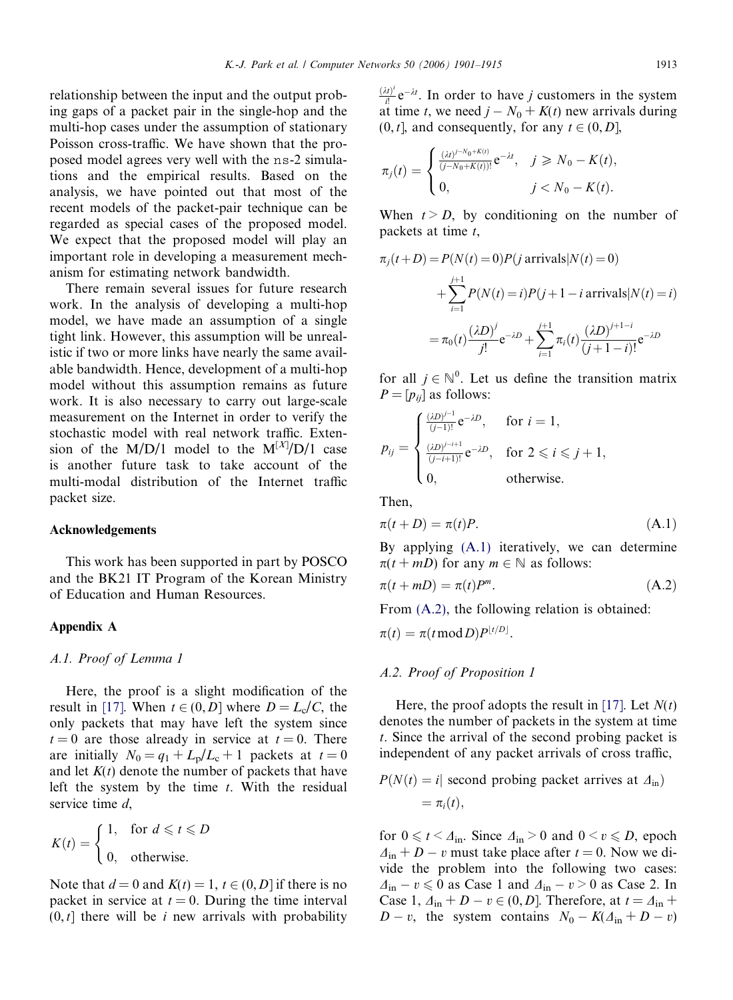relationship between the input and the output probing gaps of a packet pair in the single-hop and the multi-hop cases under the assumption of stationary Poisson cross-traffic. We have shown that the proposed model agrees very well with the ns-2 simulations and the empirical results. Based on the analysis, we have pointed out that most of the recent models of the packet-pair technique can be regarded as special cases of the proposed model. We expect that the proposed model will play an important role in developing a measurement mechanism for estimating network bandwidth.

There remain several issues for future research work. In the analysis of developing a multi-hop model, we have made an assumption of a single tight link. However, this assumption will be unrealistic if two or more links have nearly the same available bandwidth. Hence, development of a multi-hop model without this assumption remains as future work. It is also necessary to carry out large-scale measurement on the Internet in order to verify the stochastic model with real network traffic. Extension of the M/D/1 model to the  $M^{[X]}/D/1$  case is another future task to take account of the multi-modal distribution of the Internet traffic packet size.

#### Acknowledgements

This work has been supported in part by POSCO and the BK21 IT Program of the Korean Ministry of Education and Human Resources.

#### Appendix A

## A.1. Proof of Lemma 1

Here, the proof is a slight modification of the result in [\[17\].](#page-14-0) When  $t \in (0, D]$  where  $D = L_c/C$ , the only packets that may have left the system since  $t = 0$  are those already in service at  $t = 0$ . There are initially  $N_0 = q_1 + L_p/L_c + 1$  packets at  $t = 0$ and let  $K(t)$  denote the number of packets that have left the system by the time  $t$ . With the residual service time d,

$$
K(t) = \begin{cases} 1, & \text{for } d \leqslant t \leqslant D \\ 0, & \text{otherwise.} \end{cases}
$$

Note that  $d = 0$  and  $K(t) = 1$ ,  $t \in (0, D]$  if there is no packet in service at  $t = 0$ . During the time interval  $(0, t]$  there will be *i* new arrivals with probability

 $\frac{(\lambda t)^i}{i!} e^{-\lambda t}$ . In order to have *j* customers in the system at time t, we need  $j - N_0 + K(t)$  new arrivals during  $(0, t]$ , and consequently, for any  $t \in (0, D]$ ,

$$
\pi_j(t) = \begin{cases} \frac{(\lambda t)^{j - N_0 + K(t)}}{(j - N_0 + K(t))!} e^{-\lambda t}, & j \ge N_0 - K(t), \\ 0, & j < N_0 - K(t). \end{cases}
$$

When  $t > D$ , by conditioning on the number of packets at time  $t$ ,

$$
\pi_j(t+D) = P(N(t) = 0)P(j \text{ arrivals}|N(t) = 0)
$$
  
+ 
$$
\sum_{i=1}^{j+1} P(N(t) = i)P(j+1-i \text{ arrivals}|N(t) = i)
$$
  
= 
$$
\pi_0(t) \frac{(\lambda D)^j}{j!} e^{-\lambda D} + \sum_{i=1}^{j+1} \pi_i(t) \frac{(\lambda D)^{j+1-i}}{(j+1-i)!} e^{-\lambda D}
$$

for all  $j \in \mathbb{N}^0$ . Let us define the transition matrix  $P = [p_{ii}]$  as follows:

$$
p_{ij} = \begin{cases} \frac{(\lambda D)^{j-1}}{(j-1)!} e^{-\lambda D}, & \text{for } i = 1, \\ \frac{(\lambda D)^{j-i+1}}{(j-i+1)!} e^{-\lambda D}, & \text{for } 2 \leq i \leq j+1, \\ 0, & \text{otherwise.} \end{cases}
$$

Then,

$$
\pi(t+D) = \pi(t)P.
$$
\n(A.1)

By applying (A.1) iteratively, we can determine  $\pi(t + mD)$  for any  $m \in \mathbb{N}$  as follows:

$$
\pi(t + mD) = \pi(t)P^m.
$$
\n(A.2)

From (A.2), the following relation is obtained:

$$
\pi(t)=\pi(t\operatorname{mod} D)P^{\lfloor t/D\rfloor}.
$$

#### A.2. Proof of Proposition 1

Here, the proof adopts the result in [\[17\].](#page-14-0) Let  $N(t)$ denotes the number of packets in the system at time t. Since the arrival of the second probing packet is independent of any packet arrivals of cross traffic,

$$
P(N(t) = i |
$$
 second probing packet arrives at  $\Delta_{\text{in}}$ )  
=  $\pi_i(t)$ ,

for  $0 \le t \le \Delta_{\text{in}}$ . Since  $\Delta_{\text{in}} > 0$  and  $0 \le v \le D$ , epoch  $\Delta_{\text{in}} + D - v$  must take place after  $t = 0$ . Now we divide the problem into the following two cases:  $\Delta_{\text{in}} - v \leq 0$  as Case 1 and  $\Delta_{\text{in}} - v > 0$  as Case 2. In Case 1,  $\Delta_{\text{in}} + D - v \in (0, D]$ . Therefore, at  $t = \Delta_{\text{in}} +$  $D - v$ , the system contains  $N_0 - K(\Delta_{\text{in}} + D - v)$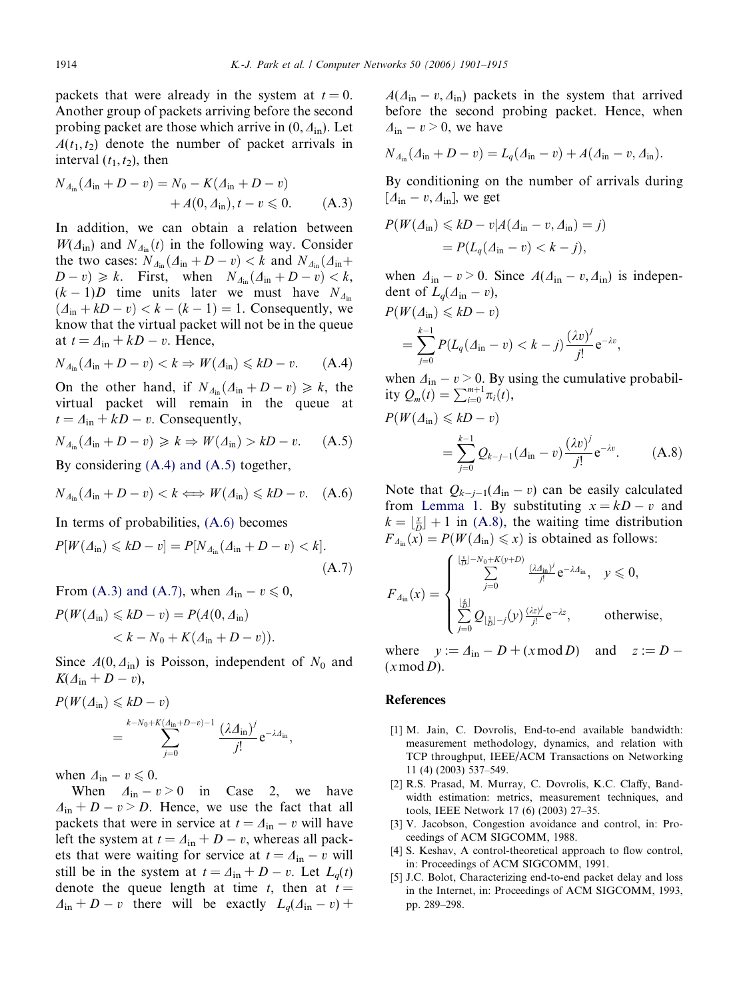<span id="page-13-0"></span>packets that were already in the system at  $t = 0$ . Another group of packets arriving before the second probing packet are those which arrive in  $(0, \Delta_{\text{in}})$ . Let  $A(t_1, t_2)$  denote the number of packet arrivals in interval  $(t_1, t_2)$ , then

$$
N_{\Delta_{\text{in}}}(A_{\text{in}} + D - v) = N_0 - K(A_{\text{in}} + D - v) + A(0, \Delta_{\text{in}}), t - v \leq 0.
$$
 (A.3)

In addition, we can obtain a relation between  $W(\Delta_{\text{in}})$  and  $N_{\Delta_{\text{in}}}(t)$  in the following way. Consider the two cases:  $N_{A_{\text{in}}}(\Delta_{\text{in}} + D - v) < k$  and  $N_{A_{\text{in}}}(\Delta_{\text{in}} + D - v)$  $(D - v) \ge k$ . First, when  $N_{\Delta_{\text{in}}}(\Delta_{\text{in}} + D - v) < k$ ,  $(k-1)D$  time units later we must have  $N_{\mathcal{A}_{\text{in}}}$  $(d_{\text{in}} + kD - v) < k - (k - 1) = 1$ . Consequently, we know that the virtual packet will not be in the queue at  $t = \Delta_{\text{in}} + kD - v$ . Hence,

$$
N_{\Delta_{\text{in}}}(A_{\text{in}} + D - v) < k \Rightarrow W(A_{\text{in}}) \leq kD - v. \tag{A.4}
$$

On the other hand, if  $N_{\Delta_{\text{in}}}(\Delta_{\text{in}} + D - v) \ge k$ , the virtual packet will remain in the queue at  $t = \Delta_{\text{in}} + kD - v$ . Consequently,

$$
N_{\Delta_{\text{in}}}(A_{\text{in}} + D - v) \geq k \Rightarrow W(A_{\text{in}}) > kD - v. \tag{A.5}
$$

By considering (A.4) and (A.5) together,

$$
N_{\Delta_{\text{in}}}(A_{\text{in}} + D - v) < k \Longleftrightarrow W(A_{\text{in}}) \leq kD - v. \quad (A.6)
$$

In terms of probabilities, (A.6) becomes

$$
P[W(\Delta_{\rm in}) \le kD - v] = P[N_{\Delta_{\rm in}}(\Delta_{\rm in} + D - v) < k].
$$
\n(A.7)

From (A.3) and (A.7), when  $\Delta_{\text{in}} - v \leq 0$ ,

$$
P(W(\Delta_{\text{in}}) \leq kD - v) = P(A(0, \Delta_{\text{in}})
$$
  
< 
$$
< k - N_0 + K(\Delta_{\text{in}} + D - v)).
$$

Since  $A(0, \Delta_{\text{in}})$  is Poisson, independent of  $N_0$  and  $K(\Delta_{\text{in}}+D-v),$ 

$$
P(W(\Lambda_{\text{in}}) \leq kD - v)
$$
  
= 
$$
\sum_{j=0}^{k-N_0+K(\Lambda_{\text{in}}+D-v)-1} \frac{(\lambda \Lambda_{\text{in}})^j}{j!} e^{-\lambda \Lambda_{\text{in}}},
$$

when  $\Delta_{\text{in}} - v \leqslant 0$ .

When  $\Delta_{\text{in}} - v > 0$  in Case 2, we have  $\Delta_{\text{in}} + D - v > D$ . Hence, we use the fact that all packets that were in service at  $t = \Delta_{\text{in}} - v$  will have left the system at  $t = \Delta_{\text{in}} + D - v$ , whereas all packets that were waiting for service at  $t = \Delta_{\text{in}} - v$  will still be in the system at  $t = \Delta_{\text{in}} + D - v$ . Let  $L_q(t)$ denote the queue length at time t, then at  $t =$  $\Delta_{\text{in}} + D - v$  there will be exactly  $L_q(\Delta_{\text{in}} - v)$  +  $A(\Delta_{\rm in} - v, \Delta_{\rm in})$  packets in the system that arrived before the second probing packet. Hence, when  $\Delta_{\rm in} - v \geq 0$ , we have

$$
N_{\Delta_{\text{in}}}(A_{\text{in}} + D - v) = L_q(A_{\text{in}} - v) + A(A_{\text{in}} - v, A_{\text{in}}).
$$

By conditioning on the number of arrivals during  $[A<sub>in</sub> - v, A<sub>in</sub>]$ , we get

$$
P(W(\Lambda_{\text{in}}) \leq kD - v | A(\Lambda_{\text{in}} - v, \Lambda_{\text{in}}) = j)
$$
  
= 
$$
P(L_q(\Lambda_{\text{in}} - v) < k - j),
$$

when  $\Delta_{\text{in}} - v > 0$ . Since  $A(\Delta_{\text{in}} - v, \Delta_{\text{in}})$  is independent of  $L_q(\Delta_{\text{in}} - v)$ ,

$$
P(W(\Delta_{\text{in}}) \leq kD - v)
$$
  
= 
$$
\sum_{j=0}^{k-1} P(L_q(\Delta_{\text{in}} - v) < k - j) \frac{(\lambda v)^j}{j!} e^{-\lambda v},
$$

when  $\Delta_{\text{in}} - v > 0$ . By using the cumulative probability  $Q_m(t) = \sum_{i=0}^{m+1} \pi_i(t)$ ,

$$
P(W(\Delta_{\text{in}}) \le kD - v)
$$
  
=  $\sum_{j=0}^{k-1} Q_{k-j-1} (\Delta_{\text{in}} - v) \frac{(\lambda v)^j}{j!} e^{-\lambda v}.$  (A.8)

Note that  $Q_{k-j-1}(A_{in}-v)$  can be easily calculated from [Lemma 1.](#page-4-0) By substituting  $x = kD - v$  and  $k = \lfloor \frac{x}{D} \rfloor + 1$  in (A.8), the waiting time distribution  $F_{\Delta_{\text{in}}} (x) = P(W(\Delta_{\text{in}}) \leq x)$  is obtained as follows:

$$
F_{\Delta_{\text{in}}}(x) = \begin{cases} \sum_{j=0}^{\lfloor \frac{x}{D} \rfloor - N_0 + K(y+D)} \frac{(\lambda \Delta_{\text{in}})^j}{j!} e^{-\lambda \Delta_{\text{in}}}, & y \leq 0, \\ \sum_{j=0}^{\lfloor \frac{x}{D} \rfloor} Q_{\lfloor \frac{x}{D} \rfloor - j}(y) \frac{(\lambda z)^j}{j!} e^{-\lambda z}, & \text{otherwise}, \end{cases}
$$

where  $y := \Delta_{\text{in}} - D + (x \mod D)$  and  $z := D (x \mod D)$ .

#### **References**

- [1] M. Jain, C. Dovrolis, End-to-end available bandwidth: measurement methodology, dynamics, and relation with TCP throughput, IEEE/ACM Transactions on Networking 11 (4) (2003) 537–549.
- [2] R.S. Prasad, M. Murray, C. Dovrolis, K.C. Claffy, Bandwidth estimation: metrics, measurement techniques, and tools, IEEE Network 17 (6) (2003) 27–35.
- [3] V. Jacobson, Congestion avoidance and control, in: Proceedings of ACM SIGCOMM, 1988.
- [4] S. Keshav, A control-theoretical approach to flow control, in: Proceedings of ACM SIGCOMM, 1991.
- [5] J.C. Bolot, Characterizing end-to-end packet delay and loss in the Internet, in: Proceedings of ACM SIGCOMM, 1993, pp. 289–298.